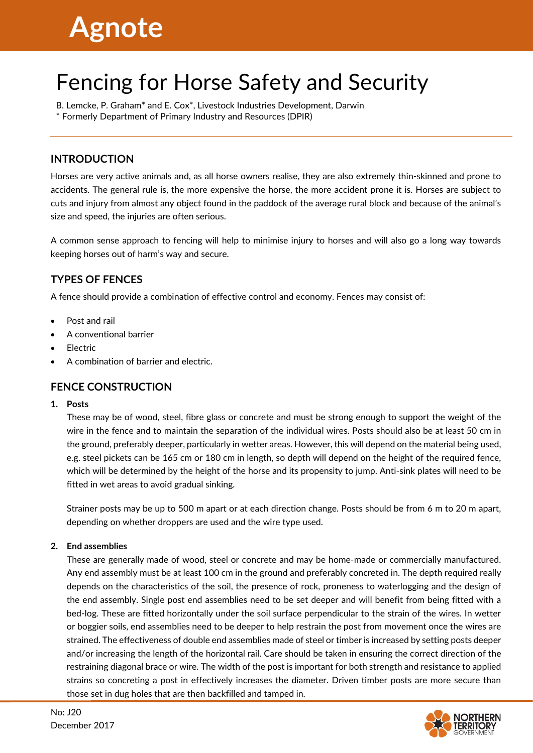# **Agnote**

# Fencing for Horse Safety and Security

B. Lemcke, P. Graham\* and E. Cox\*, Livestock Industries Development, Darwin \* Formerly Department of Primary Industry and Resources (DPIR)

# **INTRODUCTION**

Horses are very active animals and, as all horse owners realise, they are also extremely thin-skinned and prone to accidents. The general rule is, the more expensive the horse, the more accident prone it is. Horses are subject to cuts and injury from almost any object found in the paddock of the average rural block and because of the animal's size and speed, the injuries are often serious.

A common sense approach to fencing will help to minimise injury to horses and will also go a long way towards keeping horses out of harm's way and secure.

# **TYPES OF FENCES**

A fence should provide a combination of effective control and economy. Fences may consist of:

- Post and rail
- A conventional barrier
- **Electric**
- A combination of barrier and electric.

## **FENCE CONSTRUCTION**

#### **1. Posts**

These may be of wood, steel, fibre glass or concrete and must be strong enough to support the weight of the wire in the fence and to maintain the separation of the individual wires. Posts should also be at least 50 cm in the ground, preferably deeper, particularly in wetter areas. However, this will depend on the material being used, e.g. steel pickets can be 165 cm or 180 cm in length, so depth will depend on the height of the required fence, which will be determined by the height of the horse and its propensity to jump. Anti-sink plates will need to be fitted in wet areas to avoid gradual sinking.

Strainer posts may be up to 500 m apart or at each direction change. Posts should be from 6 m to 20 m apart, depending on whether droppers are used and the wire type used.

#### **2. End assemblies**

These are generally made of wood, steel or concrete and may be home-made or commercially manufactured. Any end assembly must be at least 100 cm in the ground and preferably concreted in. The depth required really depends on the characteristics of the soil, the presence of rock, proneness to waterlogging and the design of the end assembly. Single post end assemblies need to be set deeper and will benefit from being fitted with a bed-log. These are fitted horizontally under the soil surface perpendicular to the strain of the wires. In wetter or boggier soils, end assemblies need to be deeper to help restrain the post from movement once the wires are strained. The effectiveness of double end assemblies made of steel or timber is increased by setting posts deeper and/or increasing the length of the horizontal rail. Care should be taken in ensuring the correct direction of the restraining diagonal brace or wire. The width of the post is important for both strength and resistance to applied strains so concreting a post in effectively increases the diameter. Driven timber posts are more secure than those set in dug holes that are then backfilled and tamped in.

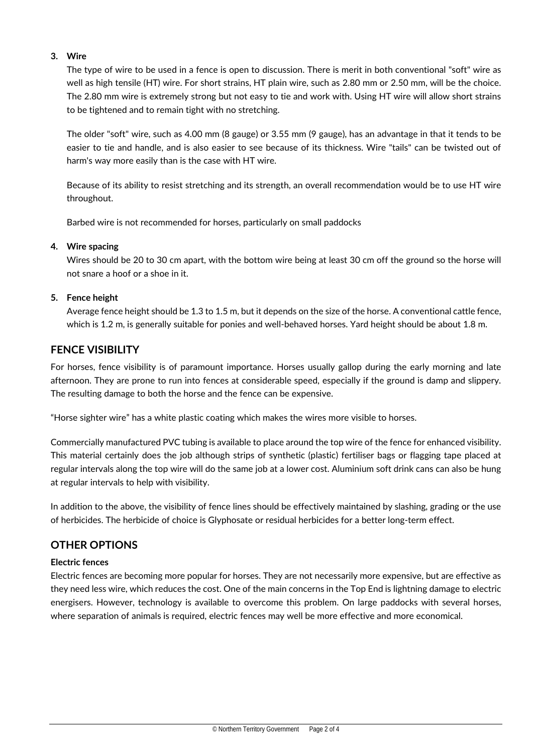#### **3. Wire**

The type of wire to be used in a fence is open to discussion. There is merit in both conventional "soft" wire as well as high tensile (HT) wire. For short strains, HT plain wire, such as 2.80 mm or 2.50 mm, will be the choice. The 2.80 mm wire is extremely strong but not easy to tie and work with. Using HT wire will allow short strains to be tightened and to remain tight with no stretching.

The older "soft" wire, such as 4.00 mm (8 gauge) or 3.55 mm (9 gauge), has an advantage in that it tends to be easier to tie and handle, and is also easier to see because of its thickness. Wire "tails" can be twisted out of harm's way more easily than is the case with HT wire.

Because of its ability to resist stretching and its strength, an overall recommendation would be to use HT wire throughout.

Barbed wire is not recommended for horses, particularly on small paddocks

#### **4. Wire spacing**

Wires should be 20 to 30 cm apart, with the bottom wire being at least 30 cm off the ground so the horse will not snare a hoof or a shoe in it.

#### **5. Fence height**

Average fence height should be 1.3 to 1.5 m, but it depends on the size of the horse. A conventional cattle fence, which is 1.2 m, is generally suitable for ponies and well-behaved horses. Yard height should be about 1.8 m.

#### **FENCE VISIBILITY**

For horses, fence visibility is of paramount importance. Horses usually gallop during the early morning and late afternoon. They are prone to run into fences at considerable speed, especially if the ground is damp and slippery. The resulting damage to both the horse and the fence can be expensive.

"Horse sighter wire" has a white plastic coating which makes the wires more visible to horses.

Commercially manufactured PVC tubing is available to place around the top wire of the fence for enhanced visibility. This material certainly does the job although strips of synthetic (plastic) fertiliser bags or flagging tape placed at regular intervals along the top wire will do the same job at a lower cost. Aluminium soft drink cans can also be hung at regular intervals to help with visibility.

In addition to the above, the visibility of fence lines should be effectively maintained by slashing, grading or the use of herbicides. The herbicide of choice is Glyphosate or residual herbicides for a better long-term effect.

#### **OTHER OPTIONS**

#### **Electric fences**

Electric fences are becoming more popular for horses. They are not necessarily more expensive, but are effective as they need less wire, which reduces the cost. One of the main concerns in the Top End is lightning damage to electric energisers. However, technology is available to overcome this problem. On large paddocks with several horses, where separation of animals is required, electric fences may well be more effective and more economical.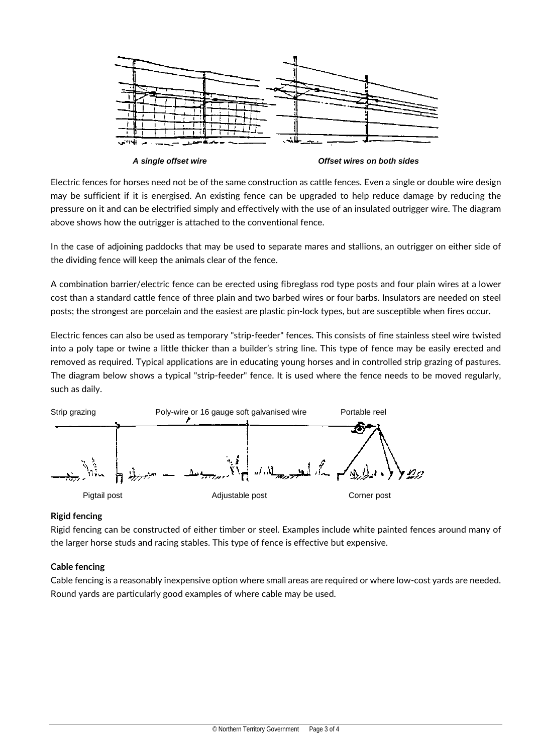

*A single offset wire Offset wires on both sides*

Electric fences for horses need not be of the same construction as cattle fences. Even a single or double wire design may be sufficient if it is energised. An existing fence can be upgraded to help reduce damage by reducing the pressure on it and can be electrified simply and effectively with the use of an insulated outrigger wire. The diagram above shows how the outrigger is attached to the conventional fence.

In the case of adjoining paddocks that may be used to separate mares and stallions, an outrigger on either side of the dividing fence will keep the animals clear of the fence.

A combination barrier/electric fence can be erected using fibreglass rod type posts and four plain wires at a lower cost than a standard cattle fence of three plain and two barbed wires or four barbs. Insulators are needed on steel posts; the strongest are porcelain and the easiest are plastic pin-lock types, but are susceptible when fires occur.

Electric fences can also be used as temporary "strip-feeder" fences. This consists of fine stainless steel wire twisted into a poly tape or twine a little thicker than a builder's string line. This type of fence may be easily erected and removed as required. Typical applications are in educating young horses and in controlled strip grazing of pastures. The diagram below shows a typical "strip-feeder" fence. It is used where the fence needs to be moved regularly, such as daily.



## **Rigid fencing**

Rigid fencing can be constructed of either timber or steel. Examples include white painted fences around many of the larger horse studs and racing stables. This type of fence is effective but expensive.

#### **Cable fencing**

Cable fencing is a reasonably inexpensive option where small areas are required or where low-cost yards are needed. Round yards are particularly good examples of where cable may be used.